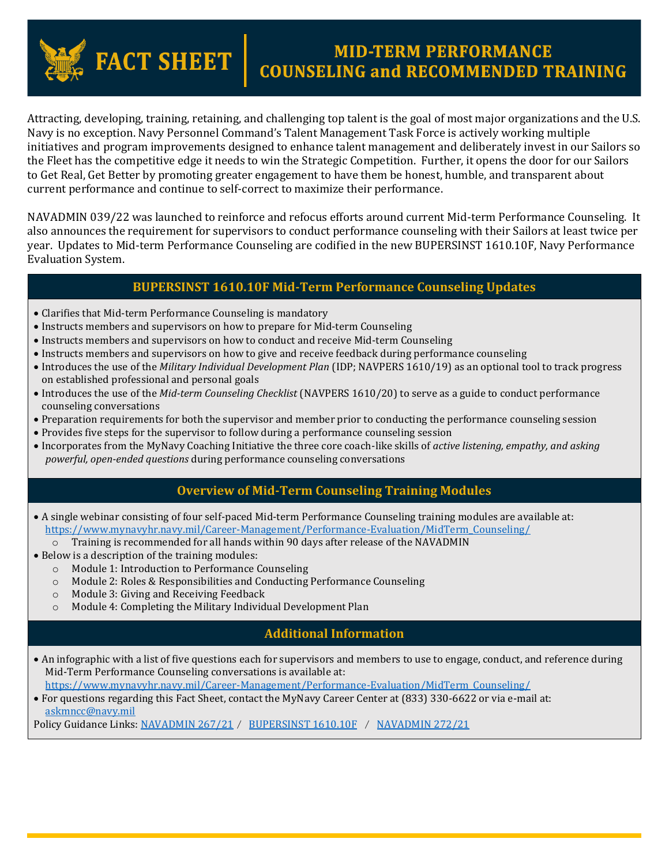# **FACT SHEET**

## **MID-TERM PERFORMANCE<br>COUNSELING and RECOMMENDED TRAINING**

Attracting, developing, training, retaining, and challenging top talent is the goal of most major organizations and the U.S. Navy is no exception. Navy Personnel Command's Talent Management Task Force is actively working multiple initiatives and program improvements designed to enhance talent management and deliberately invest in our Sailors so the Fleet has the competitive edge it needs to win the Strategic Competition. Further, it opens the door for our Sailors to Get Real, Get Better by promoting greater engagement to have them be honest, humble, and transparent about current performance and continue to self-correct to maximize their performance.

NAVADMIN 039/22 was launched to reinforce and refocus efforts around current Mid-term Performance Counseling. It also announces the requirement for supervisors to conduct performance counseling with their Sailors at least twice per year. Updates to Mid-term Performance Counseling are codified in the new BUPERSINST 1610.10F, Navy Performance Evaluation System.

#### **BUPERSINST 1610.10F Mid-Term Performance Counseling Updates**

- Clarifies that Mid-term Performance Counseling is mandatory
- Instructs members and supervisors on how to prepare for Mid-term Counseling
- Instructs members and supervisors on how to conduct and receive Mid-term Counseling
- Instructs members and supervisors on how to give and receive feedback during performance counseling
- Introduces the use of the *Military Individual Development Plan* (IDP; NAVPERS 1610/19) as an optional tool to track progress on established professional and personal goals
- Introduces the use of the *Mid-term Counseling Checklist* (NAVPERS 1610/20) to serve as a guide to conduct performance counseling conversations
- Preparation requirements for both the supervisor and member prior to conducting the performance counseling session
- Provides five steps for the supervisor to follow during a performance counseling session
- Incorporates from the MyNavy Coaching Initiative the three core coach-like skills of *active listening, empathy, and asking powerful, open-ended questions* during performance counseling conversations

#### **Overview of Mid-Term Counseling Training Modules**

- A single webinar consisting of four self-paced Mid-term Performance Counseling training modules are available at: [https://www.mynavyhr.navy.mil/Career-Management/Performance-Evaluation/MidTerm\\_Counseling/](https://www.mynavyhr.navy.mil/Career-Management/Performance-Evaluation/MidTerm_Counseling/)
	- o Training is recommended for all hands within 90 days after release of the NAVADMIN
- Below is a description of the training modules:
	- o Module 1: Introduction to Performance Counseling
	- o Module 2: Roles & Responsibilities and Conducting Performance Counseling
	- o Module 3: Giving and Receiving Feedback
	- o Module 4: Completing the Military Individual Development Plan

### **Additional Information**

 An infographic with a list of five questions each for supervisors and members to use to engage, conduct, and reference during Mid-Term Performance Counseling conversations is available at:

[https://www.mynavyhr.navy.mil/Career-Management/Performance-Evaluation/MidTerm\\_Counseling/](https://www.mynavyhr.navy.mil/Career-Management/Performance-Evaluation/MidTerm_Counseling/)

 For questions regarding this Fact Sheet, contact the MyNavy Career Center at (833) 330-6622 or via e-mail at: [askmncc@navy.mil](mailto:askmncc@navy.mil)

Policy Guidance Links: [NAVADMIN 267/21](https://www.mynavyhr.navy.mil/Portals/55/Messages/NAVADMIN/NAV2021/NAV21267.txt?ver=1m0Z1uYm9eRwZT2jHTVQLw%3d%3d) / [BUPERSINST 1610.10F](https://www.mynavyhr.navy.mil/Portals/55/Reference/Instructions/BUPERS/BUPERSINST%201610.10F%20Signed%201%20Dec%2021.pdf?ver=Rr-9rEY3g1RUBmcuGoJsjQ%3d%3d) / NAVADMIN 272/21